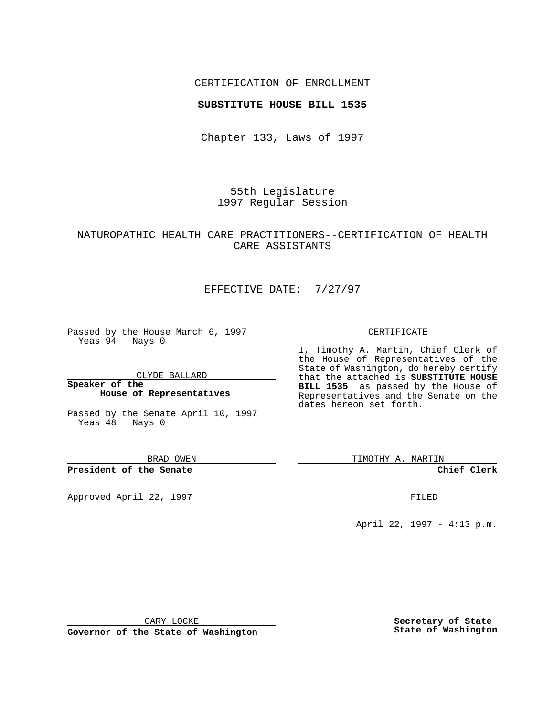### CERTIFICATION OF ENROLLMENT

#### **SUBSTITUTE HOUSE BILL 1535**

Chapter 133, Laws of 1997

55th Legislature 1997 Regular Session

# NATUROPATHIC HEALTH CARE PRACTITIONERS--CERTIFICATION OF HEALTH CARE ASSISTANTS

# EFFECTIVE DATE: 7/27/97

Passed by the House March 6, 1997 Yeas 94 Nays 0

CLYDE BALLARD

**Speaker of the House of Representatives**

Passed by the Senate April 10, 1997 Yeas 48 Nays 0

BRAD OWEN

**President of the Senate**

Approved April 22, 1997 **FILED** 

#### CERTIFICATE

I, Timothy A. Martin, Chief Clerk of the House of Representatives of the State of Washington, do hereby certify that the attached is **SUBSTITUTE HOUSE BILL 1535** as passed by the House of Representatives and the Senate on the dates hereon set forth.

TIMOTHY A. MARTIN

**Chief Clerk**

April 22, 1997 - 4:13 p.m.

GARY LOCKE

**Governor of the State of Washington**

**Secretary of State State of Washington**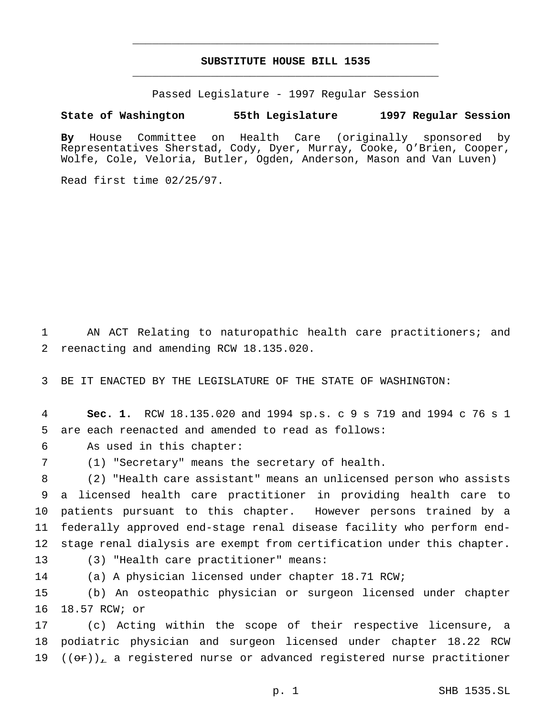# **SUBSTITUTE HOUSE BILL 1535** \_\_\_\_\_\_\_\_\_\_\_\_\_\_\_\_\_\_\_\_\_\_\_\_\_\_\_\_\_\_\_\_\_\_\_\_\_\_\_\_\_\_\_\_\_\_\_

\_\_\_\_\_\_\_\_\_\_\_\_\_\_\_\_\_\_\_\_\_\_\_\_\_\_\_\_\_\_\_\_\_\_\_\_\_\_\_\_\_\_\_\_\_\_\_

Passed Legislature - 1997 Regular Session

#### **State of Washington 55th Legislature 1997 Regular Session**

**By** House Committee on Health Care (originally sponsored by Representatives Sherstad, Cody, Dyer, Murray, Cooke, O'Brien, Cooper, Wolfe, Cole, Veloria, Butler, Ogden, Anderson, Mason and Van Luven)

Read first time 02/25/97.

 AN ACT Relating to naturopathic health care practitioners; and reenacting and amending RCW 18.135.020.

BE IT ENACTED BY THE LEGISLATURE OF THE STATE OF WASHINGTON:

 **Sec. 1.** RCW 18.135.020 and 1994 sp.s. c 9 s 719 and 1994 c 76 s 1 are each reenacted and amended to read as follows:

As used in this chapter:

(1) "Secretary" means the secretary of health.

 (2) "Health care assistant" means an unlicensed person who assists a licensed health care practitioner in providing health care to patients pursuant to this chapter. However persons trained by a federally approved end-stage renal disease facility who perform end-stage renal dialysis are exempt from certification under this chapter.

(3) "Health care practitioner" means:

(a) A physician licensed under chapter 18.71 RCW;

 (b) An osteopathic physician or surgeon licensed under chapter 18.57 RCW; or

 (c) Acting within the scope of their respective licensure, a podiatric physician and surgeon licensed under chapter 18.22 RCW  $((\sigma \cdot \tau))_{\tau}$  a registered nurse or advanced registered nurse practitioner